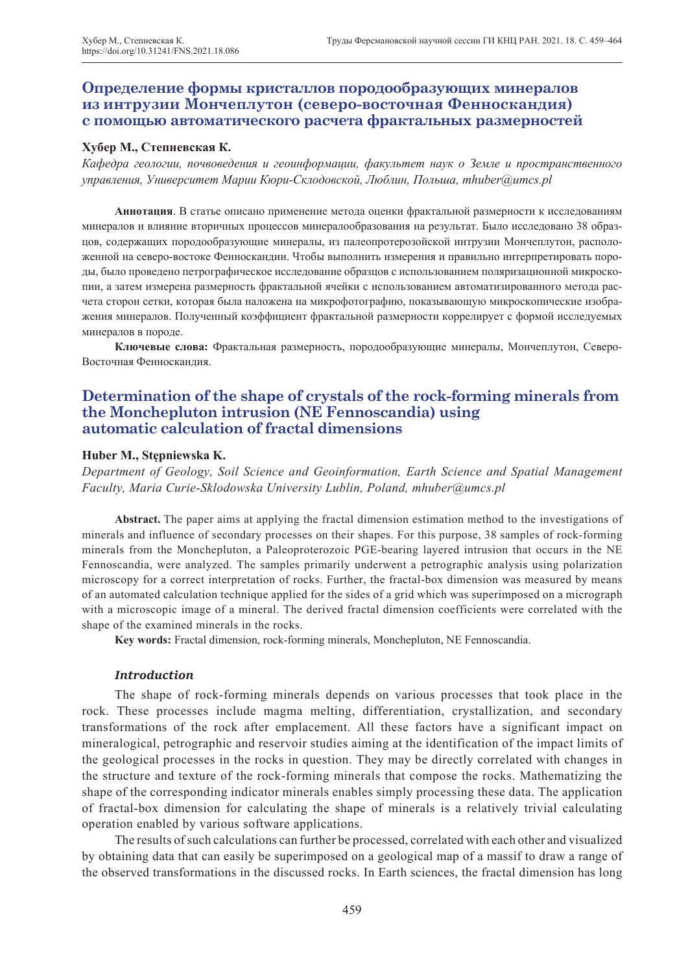## **Определение формы кристаллов породообразующих минералов из интрузии Мончеплутон (северо-восточная Фенноскандия) с помощью автоматического расчета фрактальных размерностей**

#### **Хубер М., Степневская К.**

*Кафедра геологии, почвоведения и геоинформации, факультет наук о Земле и пространственного управления, Университет Марии Кюри-Склодовской, Люблин, Польша, mhuber@umcs.pl*

**Аннотация**. В статье описано применение метода оценки фрактальной размерности к исследованиям минералов и влияние вторичных процессов минералообразования на результат. Было исследовано 38 образцов, содержащих породообразующие минералы, из палеопротерозойской интрузии Мончеплутон, расположенной на северо-востоке Фенноскандии. Чтобы выполнить измерения и правильно интерпретировать породы, было проведено петрографическое исследование образцов с использованием поляризационной микроскопии, а затем измерена размерность фрактальной ячейки с использованием автоматизированного метода расчета сторон сетки, которая была наложена на микрофотографию, показывающую микроскопические изображения минералов. Полученный коэффициент фрактальной размерности коррелирует с формой исследуемых минералов в породе.

**Ключевые слова:** Фрактальная размерность, породообразующие минералы, Мончеплутон, Северо-Восточная Фенноскандия.

# **Determination of the shape of crystals of the rock-forming minerals from the Monchepluton intrusion (NE Fennoscandia) using automatic calculation of fractal dimensions**

### **Huber M., Stępniewska K.**

*Department of Geology, Soil Science and Geoinformation, Earth Science and Spatial Management Faculty, Maria Curie-Sklodowska University Lublin, Poland, mhuber@umcs.pl*

**Abstract.** The paper aims at applying the fractal dimension estimation method to the investigations of minerals and influence of secondary processes on their shapes. For this purpose, 38 samples of rock-forming minerals from the Monchepluton, a Paleoproterozoic PGE-bearing layered intrusion that occurs in the NE Fennoscandia, were analyzed. The samples primarily underwent a petrographic analysis using polarization microscopy for a correct interpretation of rocks. Further, the fractal-box dimension was measured by means of an automated calculation technique applied for the sides of a grid which was superimposed on a micrograph with a microscopic image of a mineral. The derived fractal dimension coefficients were correlated with the shape of the examined minerals in the rocks.

**Key words:** Fractal dimension, rock-forming minerals, Monchepluton, NE Fennoscandia.

### *Introduction*

The shape of rock-forming minerals depends on various processes that took place in the rock. These processes include magma melting, differentiation, crystallization, and secondary transformations of the rock after emplacement. All these factors have a significant impact on mineralogical, petrographic and reservoir studies aiming at the identification of the impact limits of the geological processes in the rocks in question. They may be directly correlated with changes in the structure and texture of the rock-forming minerals that compose the rocks. Mathematizing the shape of the corresponding indicator minerals enables simply processing these data. The application of fractal-box dimension for calculating the shape of minerals is a relatively trivial calculating operation enabled by various software applications.

The results of such calculations can further be processed, correlated with each other and visualized by obtaining data that can easily be superimposed on a geological map of a massif to draw a range of the observed transformations in the discussed rocks. In Earth sciences, the fractal dimension has long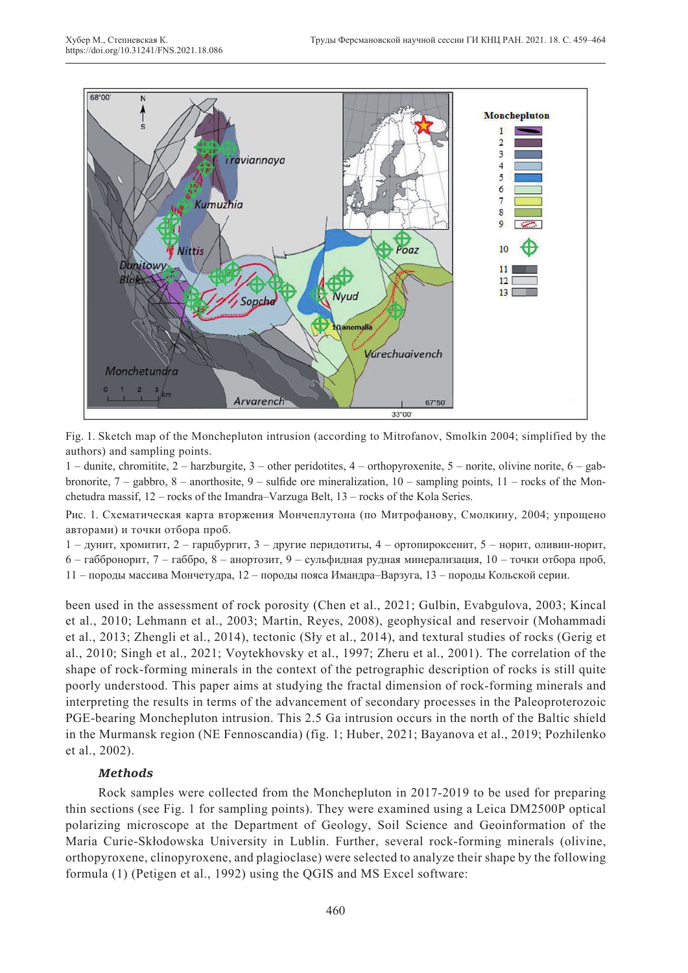

Fig. 1. Sketch map of the Monchepluton intrusion (according to Mitrofanov, Smolkin 2004; simplified by the authors) and sampling points.

1 – dunite, chromitite, 2 – harzburgite, 3 – other peridotites, 4 – orthopyroxenite, 5 – norite, olivine norite, 6 – gabbronorite,  $7 -$  gabbro,  $8 -$  anorthosite,  $9 -$  sulfide ore mineralization,  $10 -$  sampling points,  $11 -$  rocks of the Monchetudra massif, 12 – rocks of the Imandra–Varzuga Belt, 13 – rocks of the Kola Series.

Рис. 1. Схематическая карта вторжения Мончеплутона (по Митрофанову, Смолкину, 2004; упрощено авторами) и точки отбора проб.

1 – дунит, хромитит, 2 – гарцбургит, 3 – другие перидотиты, 4 – ортопироксенит, 5 – норит, оливин-норит,

6 – габбронорит, 7 – габбро, 8 – анортозит, 9 – сульфидная рудная минерализация, 10 – точки отбора проб,

11 – породы массива Мончетудра, 12 – породы пояса Имандра–Варзуга, 13 – породы Кольской серии.

been used in the assessment of rock porosity (Chen et al., 2021; Gulbin, Evabgulova, 2003; Kincal et al., 2010; Lehmann et al., 2003; Martin, Reyes, 2008), geophysical and reservoir (Mohammadi et al., 2013; Zhengli et al., 2014), tectonic (Sły et al., 2014), and textural studies of rocks (Gerig et al., 2010; Singh et al., 2021; Voytekhovsky et al., 1997; Zheru et al., 2001). The correlation of the shape of rock-forming minerals in the context of the petrographic description of rocks is still quite poorly understood. This paper aims at studying the fractal dimension of rock-forming minerals and interpreting the results in terms of the advancement of secondary processes in the Paleoproterozoic PGE-bearing Monchepluton intrusion. This 2.5 Ga intrusion occurs in the north of the Baltic shield in the Murmansk region (NE Fennoscandia) (fig. 1; Huber, 2021; Bayanova et al., 2019; Pozhilenko et al., 2002).

## *Methods*

Rock samples were collected from the Monchepluton in 2017-2019 to be used for preparing thin sections (see Fig. 1 for sampling points). They were examined using a Leica DM2500P optical polarizing microscope at the Department of Geology, Soil Science and Geoinformation of the Maria Curie-Skłodowska University in Lublin. Further, several rock-forming minerals (olivine, orthopyroxene, clinopyroxene, and plagioclase) were selected to analyze their shape by the following formula (1) (Petigen et al., 1992) using the QGIS and MS Excel software: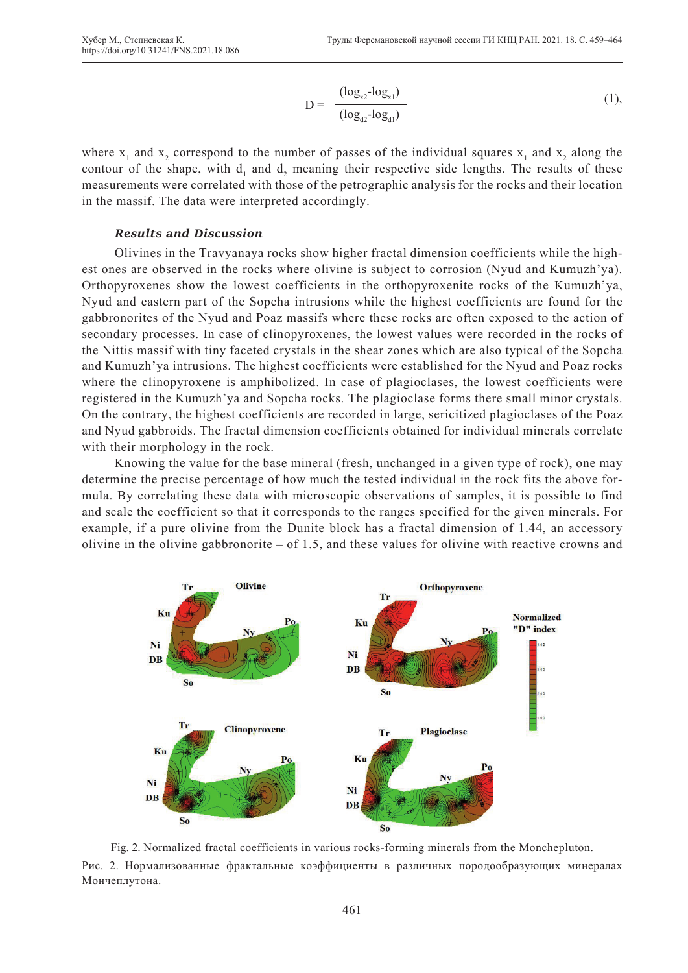$$
D = \frac{(\log_{x2} - \log_{x1})}{(\log_{d2} - \log_{d1})}
$$
 (1),

where  $x_1$  and  $x_2$  correspond to the number of passes of the individual squares  $x_1$  and  $x_2$  along the contour of the shape, with  $d_1$  and  $d_2$  meaning their respective side lengths. The results of these measurements were correlated with those of the petrographic analysis for the rocks and their location in the massif. The data were interpreted accordingly.

#### *Results and Discussion*

Olivines in the Travyanaya rocks show higher fractal dimension coefficients while the highest ones are observed in the rocks where olivine is subject to corrosion (Nyud and Kumuzh'ya). Orthopyroxenes show the lowest coefficients in the orthopyroxenite rocks of the Kumuzh'ya, Nyud and eastern part of the Sopcha intrusions while the highest coefficients are found for the gabbronorites of the Nyud and Poaz massifs where these rocks are often exposed to the action of secondary processes. In case of clinopyroxenes, the lowest values were recorded in the rocks of the Nittis massif with tiny faceted crystals in the shear zones which are also typical of the Sopcha and Kumuzh'ya intrusions. The highest coefficients were established for the Nyud and Poaz rocks where the clinopyroxene is amphibolized. In case of plagioclases, the lowest coefficients were registered in the Kumuzh'ya and Sopcha rocks. The plagioclase forms there small minor crystals. On the contrary, the highest coefficients are recorded in large, sericitized plagioclases of the Poaz and Nyud gabbroids. The fractal dimension coefficients obtained for individual minerals correlate with their morphology in the rock.

Knowing the value for the base mineral (fresh, unchanged in a given type of rock), one may determine the precise percentage of how much the tested individual in the rock fits the above formula. By correlating these data with microscopic observations of samples, it is possible to find and scale the coefficient so that it corresponds to the ranges specified for the given minerals. For example, if a pure olivine from the Dunite block has a fractal dimension of 1.44, an accessory olivine in the olivine gabbronorite – of 1.5, and these values for olivine with reactive crowns and



Fig. 2. Normalized fractal coefficients in various rocks-forming minerals from the Monchepluton. Рис. 2. Нормализованные фрактальные коэффициенты в различных породообразующих минералах Мончеплутона.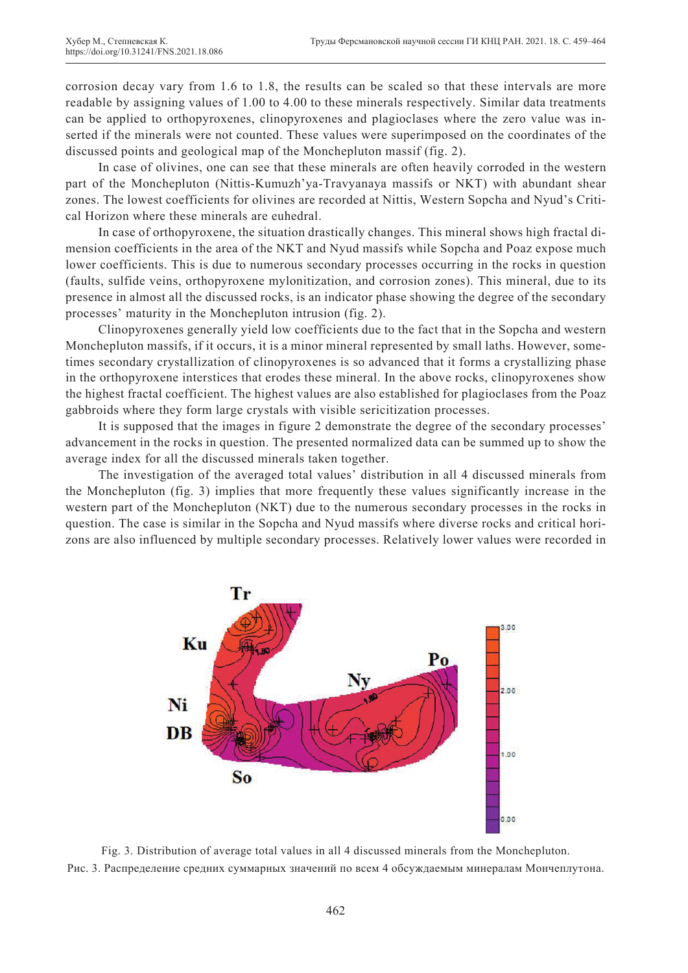corrosion decay vary from 1.6 to 1.8, the results can be scaled so that these intervals are more readable by assigning values of 1.00 to 4.00 to these minerals respectively. Similar data treatments can be applied to orthopyroxenes, clinopyroxenes and plagioclases where the zero value was inserted if the minerals were not counted. These values were superimposed on the coordinates of the discussed points and geological map of the Monchepluton massif (fig. 2).

In case of olivines, one can see that these minerals are often heavily corroded in the western part of the Monchepluton (Nittis-Kumuzh'ya-Travyanaya massifs or NKT) with abundant shear zones. The lowest coefficients for olivines are recorded at Nittis, Western Sopcha and Nyud's Critical Horizon where these minerals are euhedral.

In case of orthopyroxene, the situation drastically changes. This mineral shows high fractal dimension coefficients in the area of the NKT and Nyud massifs while Sopcha and Poaz expose much lower coefficients. This is due to numerous secondary processes occurring in the rocks in question (faults, sulfide veins, orthopyroxene mylonitization, and corrosion zones). This mineral, due to its presence in almost all the discussed rocks, is an indicator phase showing the degree of the secondary processes' maturity in the Monchepluton intrusion (fig. 2).

Clinopyroxenes generally yield low coefficients due to the fact that in the Sopcha and western Monchepluton massifs, if it occurs, it is a minor mineral represented by small laths. However, sometimes secondary crystallization of clinopyroxenes is so advanced that it forms a crystallizing phase in the orthopyroxene interstices that erodes these mineral. In the above rocks, clinopyroxenes show the highest fractal coefficient. The highest values are also established for plagioclases from the Poaz gabbroids where they form large crystals with visible sericitization processes.

It is supposed that the images in figure 2 demonstrate the degree of the secondary processes' advancement in the rocks in question. The presented normalized data can be summed up to show the average index for all the discussed minerals taken together.

The investigation of the averaged total values' distribution in all 4 discussed minerals from the Monchepluton (fig. 3) implies that more frequently these values significantly increase in the western part of the Monchepluton (NKT) due to the numerous secondary processes in the rocks in question. The case is similar in the Sopcha and Nyud massifs where diverse rocks and critical horizons are also influenced by multiple secondary processes. Relatively lower values were recorded in



Fig. 3. Distribution of average total values in all 4 discussed minerals from the Monchepluton. Рис. 3. Распределение средних суммарных значений по всем 4 обсуждаемым минералам Мончеплутона.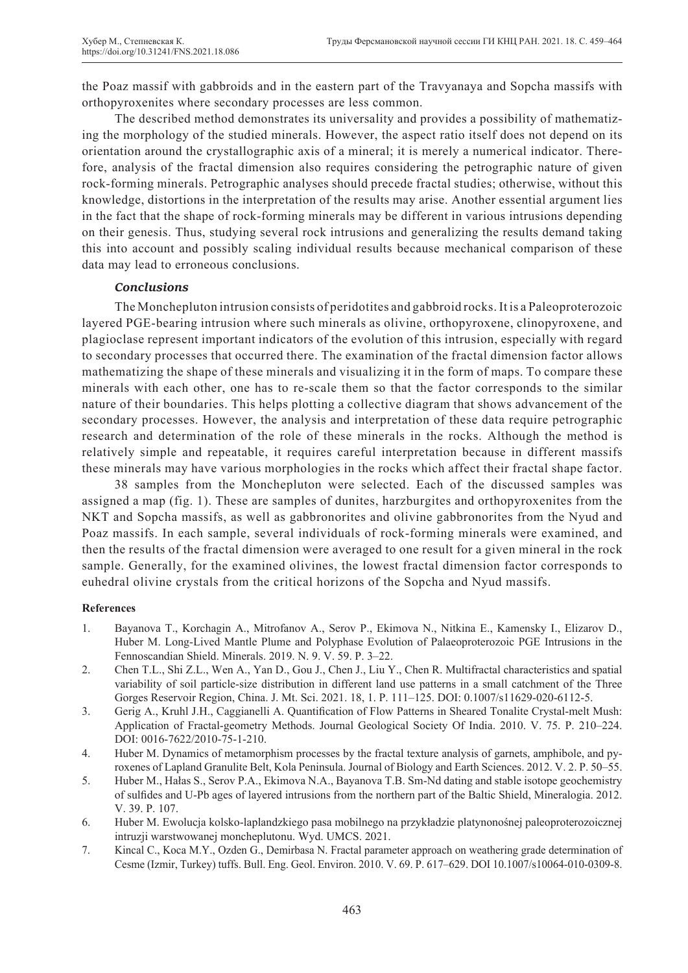the Poaz massif with gabbroids and in the eastern part of the Travyanaya and Sopcha massifs with orthopyroxenites where secondary processes are less common.

The described method demonstrates its universality and provides a possibility of mathematizing the morphology of the studied minerals. However, the aspect ratio itself does not depend on its orientation around the crystallographic axis of a mineral; it is merely a numerical indicator. Therefore, analysis of the fractal dimension also requires considering the petrographic nature of given rock-forming minerals. Petrographic analyses should precede fractal studies; otherwise, without this knowledge, distortions in the interpretation of the results may arise. Another essential argument lies in the fact that the shape of rock-forming minerals may be different in various intrusions depending on their genesis. Thus, studying several rock intrusions and generalizing the results demand taking this into account and possibly scaling individual results because mechanical comparison of these data may lead to erroneous conclusions.

## *Conclusions*

The Monchepluton intrusion consists of peridotites and gabbroid rocks. It is a Paleoproterozoic layered PGE-bearing intrusion where such minerals as olivine, orthopyroxene, clinopyroxene, and plagioclase represent important indicators of the evolution of this intrusion, especially with regard to secondary processes that occurred there. The examination of the fractal dimension factor allows mathematizing the shape of these minerals and visualizing it in the form of maps. To compare these minerals with each other, one has to re-scale them so that the factor corresponds to the similar nature of their boundaries. This helps plotting a collective diagram that shows advancement of the secondary processes. However, the analysis and interpretation of these data require petrographic research and determination of the role of these minerals in the rocks. Although the method is relatively simple and repeatable, it requires careful interpretation because in different massifs these minerals may have various morphologies in the rocks which affect their fractal shape factor.

38 samples from the Monchepluton were selected. Each of the discussed samples was assigned a map (fig. 1). These are samples of dunites, harzburgites and orthopyroxenites from the NKT and Sopcha massifs, as well as gabbronorites and olivine gabbronorites from the Nyud and Poaz massifs. In each sample, several individuals of rock-forming minerals were examined, and then the results of the fractal dimension were averaged to one result for a given mineral in the rock sample. Generally, for the examined olivines, the lowest fractal dimension factor corresponds to euhedral olivine crystals from the critical horizons of the Sopcha and Nyud massifs.

## **References**

- 1. Bayanova T., Korchagin A., Mitrofanov A., Serov P., Ekimova N., Nitkina E., Kamensky I., Elizarov D., Huber M. Long-Lived Mantle Plume and Polyphase Evolution of Palaeoproterozoic PGE Intrusions in the Fennoscandian Shield. Minerals. 2019. N. 9. V. 59. P. 3–22.
- 2. Chen T.L., Shi Z.L., Wen A., Yan D., Gou J., Chen J., Liu Y., Chen R. Multifractal characteristics and spatial variability of soil particle-size distribution in different land use patterns in a small catchment of the Three Gorges Reservoir Region, China. J. Mt. Sci. 2021. 18, 1. P. 111–125. DOI: 0.1007/s11629-020-6112-5.
- 3. Gerig A., Kruhl J.H., Caggianelli A. Quantification of Flow Patterns in Sheared Tonalite Crystal-melt Mush: Application of Fractal-geometry Methods. Journal Geological Society Of India. 2010. V. 75. P. 210–224. DOI: 0016-7622/2010-75-1-210.
- 4. Huber M. Dynamics of metamorphism processes by the fractal texture analysis of garnets, amphibole, and pyroxenes of Lapland Granulite Belt, Kola Peninsula. Journal of Biology and Earth Sciences. 2012. V. 2. P. 50–55.
- 5. Huber M., Hałas S., Serov P.A., Ekimova N.A., Bayanova T.B. Sm-Nd dating and stable isotope geochemistry of sulfides and U-Pb ages of layered intrusions from the northern part of the Baltic Shield, Mineralogia. 2012. V. 39. P. 107.
- 6. Huber M. Ewolucja kolsko-laplandzkiego pasa mobilnego na przykładzie platynonośnej paleoproterozoicznej intruzji warstwowanej moncheplutonu. Wyd. UMCS. 2021.
- 7. Kincal C., Koca M.Y., Ozden G., Demirbasa N. Fractal parameter approach on weathering grade determination of Cesme (Izmir, Turkey) tuffs. Bull. Eng. Geol. Environ. 2010. V. 69. P. 617–629. DOI 10.1007/s10064-010-0309-8.